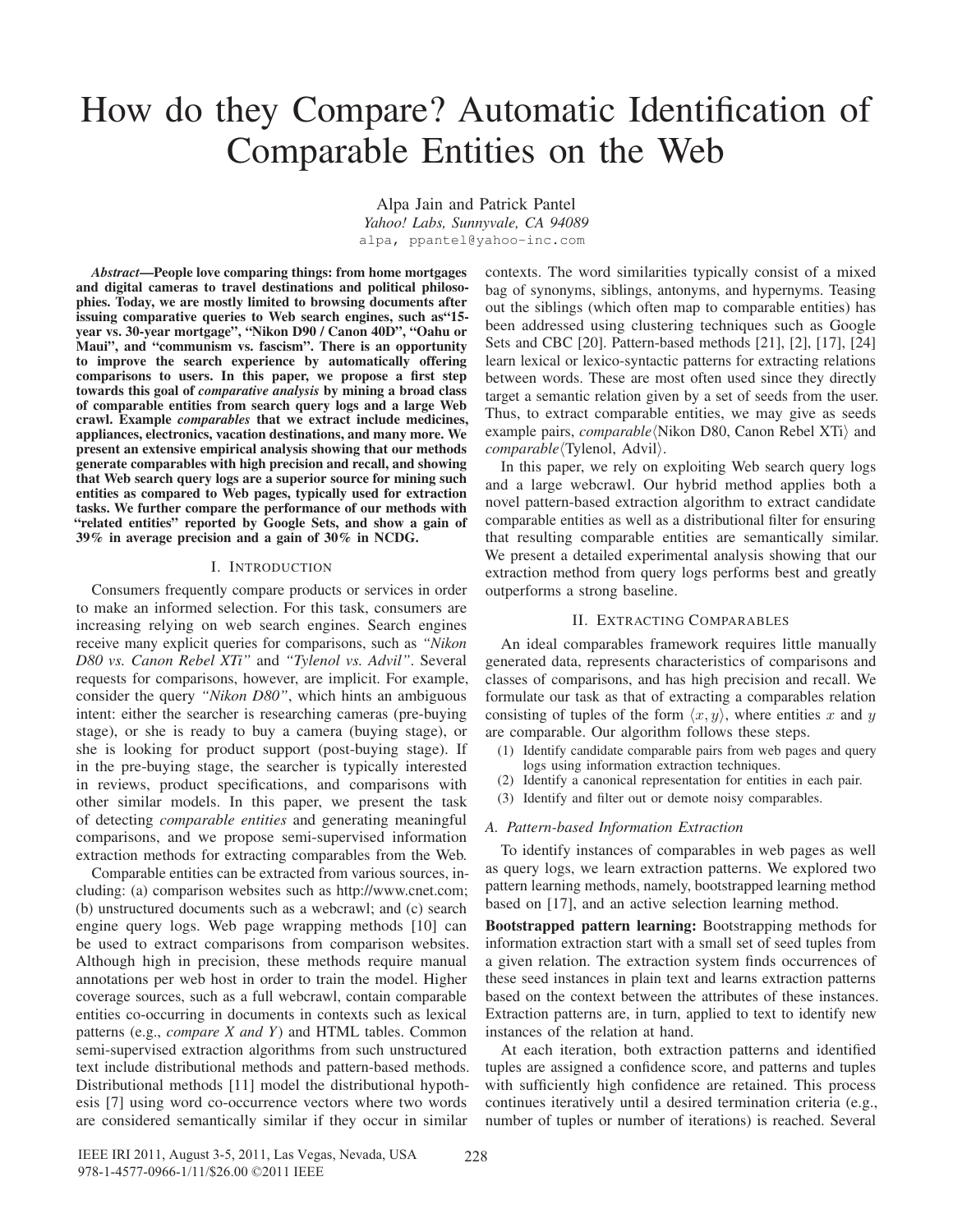# How do they Compare? Automatic Identification of Comparable Entities on the Web

Alpa Jain and Patrick Pantel *Yahoo! Labs, Sunnyvale, CA 94089* alpa, ppantel@yahoo-inc.com

*Abstract*—People love comparing things: from home mortgages and digital cameras to travel destinations and political philosophies. Today, we are mostly limited to browsing documents after issuing comparative queries to Web search engines, such as"15 year vs. 30-year mortgage", "Nikon D90 / Canon 40D", "Oahu or Maui", and "communism vs. fascism". There is an opportunity to improve the search experience by automatically offering comparisons to users. In this paper, we propose a first step towards this goal of *comparative analysis* by mining a broad class of comparable entities from search query logs and a large Web crawl. Example *comparables* that we extract include medicines, appliances, electronics, vacation destinations, and many more. We present an extensive empirical analysis showing that our methods generate comparables with high precision and recall, and showing that Web search query logs are a superior source for mining such entities as compared to Web pages, typically used for extraction tasks. We further compare the performance of our methods with "related entities" reported by Google Sets, and show a gain of 39% in average precision and a gain of 30% in NCDG.

## I. INTRODUCTION

Consumers frequently compare products or services in order to make an informed selection. For this task, consumers are increasing relying on web search engines. Search engines receive many explicit queries for comparisons, such as *"Nikon D80 vs. Canon Rebel XTi"* and *"Tylenol vs. Advil"*. Several requests for comparisons, however, are implicit. For example, consider the query *"Nikon D80"*, which hints an ambiguous intent: either the searcher is researching cameras (pre-buying stage), or she is ready to buy a camera (buying stage), or she is looking for product support (post-buying stage). If in the pre-buying stage, the searcher is typically interested in reviews, product specifications, and comparisons with other similar models. In this paper, we present the task of detecting *comparable entities* and generating meaningful comparisons, and we propose semi-supervised information extraction methods for extracting comparables from the Web.

Comparable entities can be extracted from various sources, including: (a) comparison websites such as http://www.cnet.com; (b) unstructured documents such as a webcrawl; and (c) search engine query logs. Web page wrapping methods [10] can be used to extract comparisons from comparison websites. Although high in precision, these methods require manual annotations per web host in order to train the model. Higher coverage sources, such as a full webcrawl, contain comparable entities co-occurring in documents in contexts such as lexical patterns (e.g., *compare X and Y*) and HTML tables. Common semi-supervised extraction algorithms from such unstructured text include distributional methods and pattern-based methods. Distributional methods [11] model the distributional hypothesis [7] using word co-occurrence vectors where two words are considered semantically similar if they occur in similar

contexts. The word similarities typically consist of a mixed bag of synonyms, siblings, antonyms, and hypernyms. Teasing out the siblings (which often map to comparable entities) has been addressed using clustering techniques such as Google Sets and CBC [20]. Pattern-based methods [21], [2], [17], [24] learn lexical or lexico-syntactic patterns for extracting relations between words. These are most often used since they directly target a semantic relation given by a set of seeds from the user. Thus, to extract comparable entities, we may give as seeds example pairs, *comparable* (Nikon D80, Canon Rebel XTi) and *comparable* (Tylenol, Advil).

In this paper, we rely on exploiting Web search query logs and a large webcrawl. Our hybrid method applies both a novel pattern-based extraction algorithm to extract candidate comparable entities as well as a distributional filter for ensuring that resulting comparable entities are semantically similar. We present a detailed experimental analysis showing that our extraction method from query logs performs best and greatly outperforms a strong baseline.

# II. EXTRACTING COMPARABLES

An ideal comparables framework requires little manually generated data, represents characteristics of comparisons and classes of comparisons, and has high precision and recall. We formulate our task as that of extracting a comparables relation consisting of tuples of the form  $\langle x, y \rangle$ , where entities x and y<br>are comparable. Our algorithm follows these steps are comparable. Our algorithm follows these steps.

- (1) Identify candidate comparable pairs from web pages and query logs using information extraction techniques.
- (2) Identify a canonical representation for entities in each pair.
- (3) Identify and filter out or demote noisy comparables.

#### *A. Pattern-based Information Extraction*

To identify instances of comparables in web pages as well as query logs, we learn extraction patterns. We explored two pattern learning methods, namely, bootstrapped learning method based on [17], and an active selection learning method.

Bootstrapped pattern learning: Bootstrapping methods for information extraction start with a small set of seed tuples from a given relation. The extraction system finds occurrences of these seed instances in plain text and learns extraction patterns based on the context between the attributes of these instances. Extraction patterns are, in turn, applied to text to identify new instances of the relation at hand.

At each iteration, both extraction patterns and identified tuples are assigned a confidence score, and patterns and tuples with sufficiently high confidence are retained. This process continues iteratively until a desired termination criteria (e.g., number of tuples or number of iterations) is reached. Several

IEEE IRI 2011, August 3-5, 2011, Las Vegas, Nevada, USA 228 978-1-4577-0966-1/11/\$26.00 ©2011 IEEE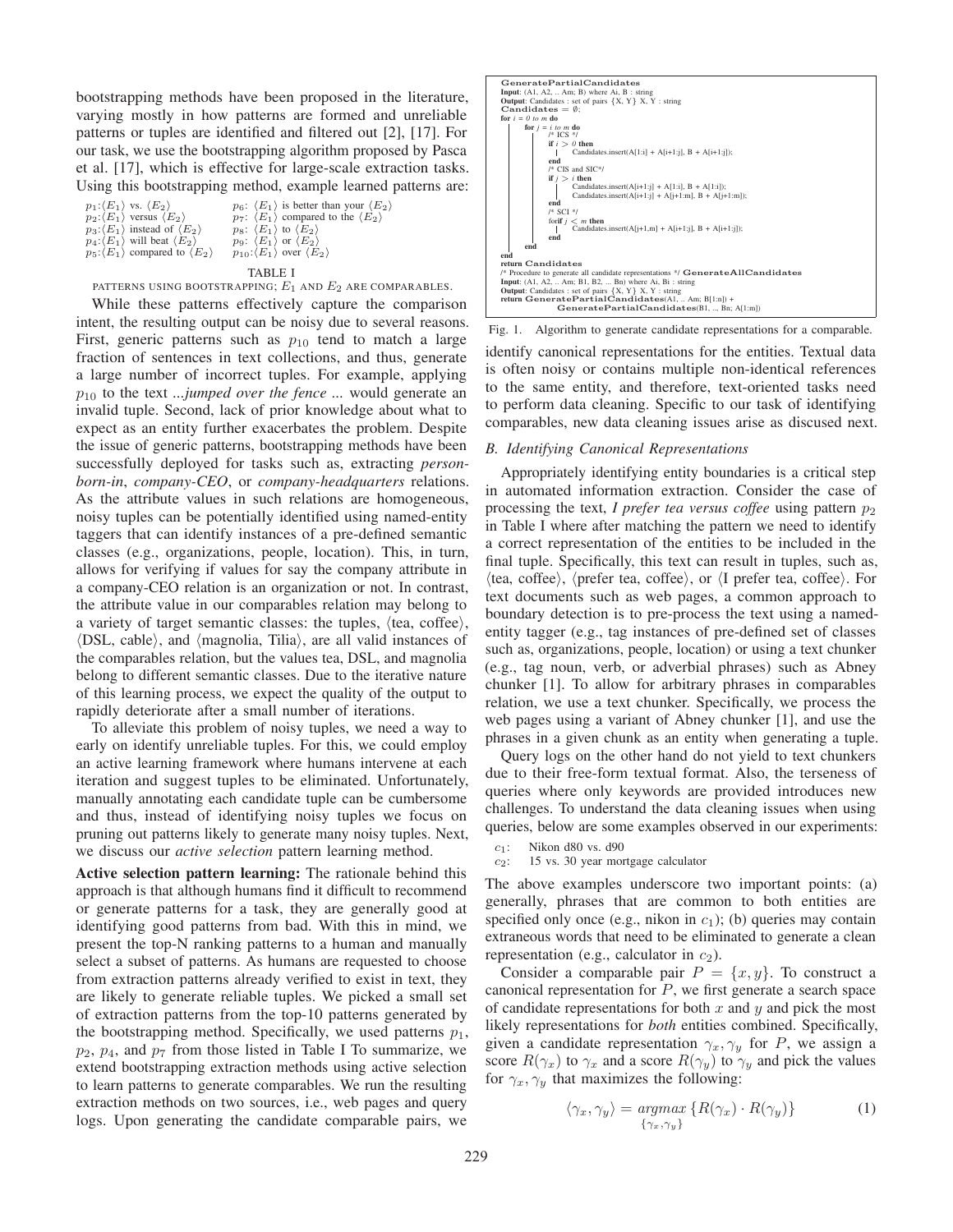bootstrapping methods have been proposed in the literature, varying mostly in how patterns are formed and unreliable patterns or tuples are identified and filtered out [2], [17]. For our task, we use the bootstrapping algorithm proposed by Pasca et al. [17], which is effective for large-scale extraction tasks. Using this bootstrapping method, example learned patterns are:

| $p_1$ : $\langle E_1 \rangle$ vs. $\langle E_2 \rangle$         | $p_6$ : $\langle E_1 \rangle$ is better than your $\langle E_2 \rangle$ |
|-----------------------------------------------------------------|-------------------------------------------------------------------------|
| $p_2$ : $\langle E_1 \rangle$ versus $\langle E_2 \rangle$      | $p_7$ : $\langle E_1 \rangle$ compared to the $\langle E_2 \rangle$     |
| $p_3$ : $\langle E_1 \rangle$ instead of $\langle E_2 \rangle$  | $p_8$ : $\langle E_1 \rangle$ to $\langle E_2 \rangle$                  |
| $p_4$ : $\langle E_1 \rangle$ will beat $\langle E_2 \rangle$   | $p_9$ : $\langle E_1 \rangle$ or $\langle E_2 \rangle$                  |
| $p_5$ : $\langle E_1 \rangle$ compared to $\langle E_2 \rangle$ | $p_{10}$ : $\langle E_1 \rangle$ over $\langle E_2 \rangle$             |
|                                                                 | TABLE I                                                                 |

PATTERNS USING BOOTSTRAPPING;  $E_1$  and  $E_2$  are comparables.

While these patterns effectively capture the comparison intent, the resulting output can be noisy due to several reasons. First, generic patterns such as  $p_{10}$  tend to match a large fraction of sentences in text collections, and thus, generate a large number of incorrect tuples. For example, applying  $p_{10}$  to the text *...jumped over the fence* ... would generate an invalid tuple. Second, lack of prior knowledge about what to expect as an entity further exacerbates the problem. Despite the issue of generic patterns, bootstrapping methods have been successfully deployed for tasks such as, extracting *personborn-in*, *company-CEO*, or *company-headquarters* relations. As the attribute values in such relations are homogeneous, noisy tuples can be potentially identified using named-entity taggers that can identify instances of a pre-defined semantic classes (e.g., organizations, people, location). This, in turn, allows for verifying if values for say the company attribute in a company-CEO relation is an organization or not. In contrast, the attribute value in our comparables relation may belong to a variety of target semantic classes: the tuples,  $\langle$  tea, coffee $\rangle$ ,  $\langle$ DSL, cable $\rangle$ , and  $\langle$ magnolia, Tilia $\rangle$ , are all valid instances of the comparables relation, but the values tea, DSL, and magnolia belong to different semantic classes. Due to the iterative nature of this learning process, we expect the quality of the output to rapidly deteriorate after a small number of iterations.

To alleviate this problem of noisy tuples, we need a way to early on identify unreliable tuples. For this, we could employ an active learning framework where humans intervene at each iteration and suggest tuples to be eliminated. Unfortunately, manually annotating each candidate tuple can be cumbersome and thus, instead of identifying noisy tuples we focus on pruning out patterns likely to generate many noisy tuples. Next, we discuss our *active selection* pattern learning method.

Active selection pattern learning: The rationale behind this approach is that although humans find it difficult to recommend or generate patterns for a task, they are generally good at identifying good patterns from bad. With this in mind, we present the top-N ranking patterns to a human and manually select a subset of patterns. As humans are requested to choose from extraction patterns already verified to exist in text, they are likely to generate reliable tuples. We picked a small set of extraction patterns from the top-10 patterns generated by the bootstrapping method. Specifically, we used patterns  $p_1$ ,  $p_2$ ,  $p_4$ , and  $p_7$  from those listed in Table I To summarize, we extend bootstrapping extraction methods using active selection to learn patterns to generate comparables. We run the resulting extraction methods on two sources, i.e., web pages and query logs. Upon generating the candidate comparable pairs, we



Fig. 1. Algorithm to generate candidate representations for a comparable.

identify canonical representations for the entities. Textual data is often noisy or contains multiple non-identical references to the same entity, and therefore, text-oriented tasks need to perform data cleaning. Specific to our task of identifying comparables, new data cleaning issues arise as discused next.

#### *B. Identifying Canonical Representations*

Appropriately identifying entity boundaries is a critical step in automated information extraction. Consider the case of processing the text, *I prefer tea versus coffee* using pattern  $p_2$ in Table I where after matching the pattern we need to identify a correct representation of the entities to be included in the final tuple. Specifically, this text can result in tuples, such as,  $\langle \text{tea}, \text{ coffee} \rangle$ ,  $\langle \text{prefer tea}, \text{ coffee} \rangle$ , or  $\langle \text{I prefer tea}, \text{ coffee} \rangle$ . For text documents such as web pages, a common approach to boundary detection is to pre-process the text using a namedentity tagger (e.g., tag instances of pre-defined set of classes such as, organizations, people, location) or using a text chunker (e.g., tag noun, verb, or adverbial phrases) such as Abney chunker [1]. To allow for arbitrary phrases in comparables relation, we use a text chunker. Specifically, we process the web pages using a variant of Abney chunker [1], and use the phrases in a given chunk as an entity when generating a tuple.

Query logs on the other hand do not yield to text chunkers due to their free-form textual format. Also, the terseness of queries where only keywords are provided introduces new challenges. To understand the data cleaning issues when using queries, below are some examples observed in our experiments:

 $c_1$ : Nikon d80 vs. d90<br> $c_2$ : 15 vs. 30 year mor

15 vs. 30 year mortgage calculator

The above examples underscore two important points: (a) generally, phrases that are common to both entities are specified only once (e.g., nikon in  $c_1$ ); (b) queries may contain extraneous words that need to be eliminated to generate a clean representation (e.g., calculator in  $c_2$ ).

Consider a comparable pair  $P = \{x, y\}$ . To construct a canonical representation for  $P$ , we first generate a search space of candidate representations for both  $x$  and  $y$  and pick the most likely representations for *both* entities combined. Specifically, given a candidate representation  $\gamma_x, \gamma_y$  for P, we assign a score  $R(\gamma_x)$  to  $\gamma_x$  and a score  $R(\gamma_y)$  to  $\gamma_y$  and pick the values for  $\gamma_x, \gamma_y$  that maximizes the following:

$$
\langle \gamma_x, \gamma_y \rangle = \underset{\{\gamma_x, \gamma_y\}}{\operatorname{argmax}} \left\{ R(\gamma_x) \cdot R(\gamma_y) \right\} \tag{1}
$$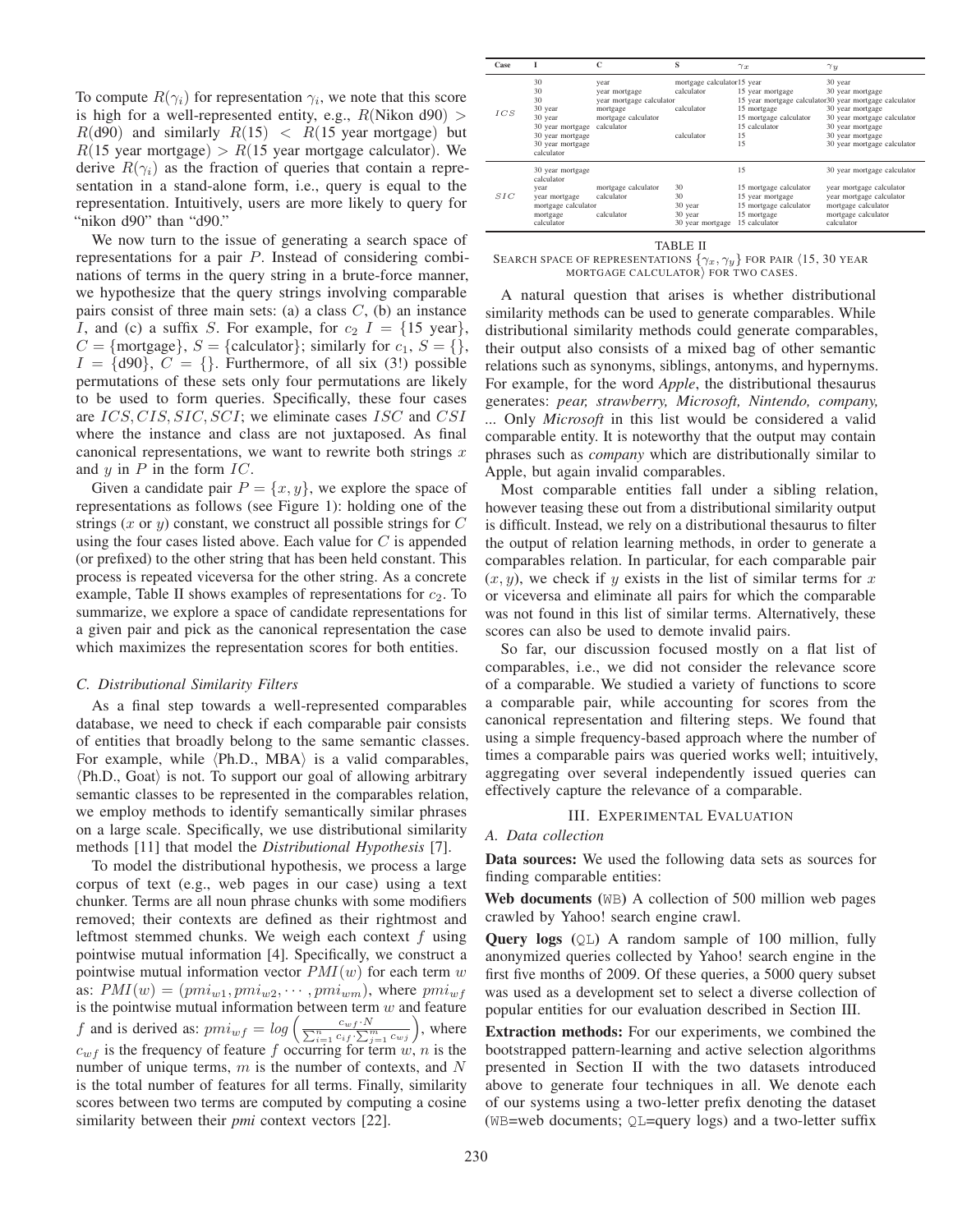To compute  $R(\gamma_i)$  for representation  $\gamma_i$ , we note that this score is high for a well-represented entity, e.g.,  $R(Nikon d90) >$  $R(d90)$  and similarly  $R(15) < R(15)$  year mortgage) but  $R(15 \text{ year mortgage}) > R(15 \text{ year mortgage calculator})$ . We derive  $R(\gamma_i)$  as the fraction of queries that contain a representation in a stand-alone form, i.e., query is equal to the representation. Intuitively, users are more likely to query for "nikon d90" than "d90."

We now turn to the issue of generating a search space of representations for a pair P. Instead of considering combinations of terms in the query string in a brute-force manner, we hypothesize that the query strings involving comparable pairs consist of three main sets: (a) a class  $C$ , (b) an instance I, and (c) a suffix S. For example, for  $c_2$  I = {15 year},  $C = \{$  mortgage $\}, S = \{$ calculator $\}$ ; similarly for  $c_1, S = \{\},\$  $I = \{d90\}, C = \{\}.$  Furthermore, of all six (3!) possible permutations of these sets only four permutations are likely to be used to form queries. Specifically, these four cases are ICS, CIS, SIC, SCI; we eliminate cases ISC and CSI where the instance and class are not juxtaposed. As final canonical representations, we want to rewrite both strings  $x$ and  $y$  in  $P$  in the form  $IC$ .

Given a candidate pair  $P = \{x, y\}$ , we explore the space of representations as follows (see Figure 1): holding one of the strings  $(x \text{ or } y)$  constant, we construct all possible strings for  $C$ using the four cases listed above. Each value for  $C$  is appended (or prefixed) to the other string that has been held constant. This process is repeated viceversa for the other string. As a concrete example, Table II shows examples of representations for  $c_2$ . To summarize, we explore a space of candidate representations for a given pair and pick as the canonical representation the case which maximizes the representation scores for both entities.

## *C. Distributional Similarity Filters*

As a final step towards a well-represented comparables database, we need to check if each comparable pair consists of entities that broadly belong to the same semantic classes. For example, while  $\langle Ph.D., MBA \rangle$  is a valid comparables,  $\langle$ Ph.D., Goat $\rangle$  is not. To support our goal of allowing arbitrary semantic classes to be represented in the comparables relation, we employ methods to identify semantically similar phrases on a large scale. Specifically, we use distributional similarity methods [11] that model the *Distributional Hypothesis* [7].

To model the distributional hypothesis, we process a large corpus of text (e.g., web pages in our case) using a text chunker. Terms are all noun phrase chunks with some modifiers removed; their contexts are defined as their rightmost and leftmost stemmed chunks. We weigh each context  $f$  using pointwise mutual information [4]. Specifically, we construct a pointwise mutual information vector  $PMI(w)$  for each term w as:  $PMI(w)=(pm_{w1}, pmi_{w2}, \cdots, pmi_{wm})$ , where  $pm_{wf}$ is the pointwise mutual information between term  $w$  and feature f and is derived as:  $pmi_{wf} = log\left(\frac{c_{wf}N}{\sum_{i=1}^{n} c_{if} \cdot \sum_{j=1}^{m} c_{wy}}\right)$ , where  $c_{wf}$  is the frequency of feature f occurring for term w, n is the number of unique terms,  $m$  is the number of contexts, and  $N$ is the total number of features for all terms. Finally, similarity scores between two terms are computed by computing a cosine similarity between their *pmi* context vectors [22].

| Case | T                                                                                                              | C                                                                                                  | s                                                                    | $\gamma_x$                                                                                                 | $\gamma_{y}$                                                                                                                                                                                                    |
|------|----------------------------------------------------------------------------------------------------------------|----------------------------------------------------------------------------------------------------|----------------------------------------------------------------------|------------------------------------------------------------------------------------------------------------|-----------------------------------------------------------------------------------------------------------------------------------------------------------------------------------------------------------------|
| IC.S | 30<br>30<br>30<br>30 year<br>30 year<br>30 year mortgage<br>30 year mortgage<br>30 year mortgage<br>calculator | year<br>year mortgage<br>year mortgage calculator<br>mortgage<br>mortgage calculator<br>calculator | mortgage calculator15 year<br>calculator<br>calculator<br>calculator | 15 year mortgage<br>15 mortgage<br>15 mortgage calculator<br>15 calculator<br>15<br>15                     | 30 year<br>30 year mortgage<br>15 year mortgage calculator30 year mortgage calculator<br>30 year mortgage<br>30 year mortgage calculator<br>30 year mortgage<br>30 year mortgage<br>30 year mortgage calculator |
| SIC  | 30 year mortgage<br>calculator<br>year<br>year mortgage<br>mortgage calculator<br>mortgage<br>calculator       | mortgage calculator<br>calculator<br>calculator                                                    | 30<br>30<br>30 year<br>30 year<br>30 year mortgage                   | 15<br>15 mortgage calculator<br>15 year mortgage<br>15 mortgage calculator<br>15 mortgage<br>15 calculator | 30 year mortgage calculator<br>year mortgage calculator<br>year mortgage calculator<br>mortgage calculator<br>mortgage calculator<br>calculator                                                                 |

#### TABLE II

Search space of representations  $\{\gamma_x,\gamma_y\}$  for pair  $\langle 15, 30$  year MORTGAGE CALCULATOR $\rangle$  for two cases.

A natural question that arises is whether distributional similarity methods can be used to generate comparables. While distributional similarity methods could generate comparables, their output also consists of a mixed bag of other semantic relations such as synonyms, siblings, antonyms, and hypernyms. For example, for the word *Apple*, the distributional thesaurus generates: *pear, strawberry, Microsoft, Nintendo, company, ...* Only *Microsoft* in this list would be considered a valid comparable entity. It is noteworthy that the output may contain phrases such as *company* which are distributionally similar to Apple, but again invalid comparables.

Most comparable entities fall under a sibling relation, however teasing these out from a distributional similarity output is difficult. Instead, we rely on a distributional thesaurus to filter the output of relation learning methods, in order to generate a comparables relation. In particular, for each comparable pair  $(x, y)$ , we check if y exists in the list of similar terms for x or viceversa and eliminate all pairs for which the comparable was not found in this list of similar terms. Alternatively, these scores can also be used to demote invalid pairs.

So far, our discussion focused mostly on a flat list of comparables, i.e., we did not consider the relevance score of a comparable. We studied a variety of functions to score a comparable pair, while accounting for scores from the canonical representation and filtering steps. We found that using a simple frequency-based approach where the number of times a comparable pairs was queried works well; intuitively, aggregating over several independently issued queries can effectively capture the relevance of a comparable.

#### III. EXPERIMENTAL EVALUATION

## *A. Data collection*

Data sources: We used the following data sets as sources for finding comparable entities:

Web documents (WB) A collection of 500 million web pages crawled by Yahoo! search engine crawl.

Query logs (QL) A random sample of 100 million, fully anonymized queries collected by Yahoo! search engine in the first five months of 2009. Of these queries, a 5000 query subset was used as a development set to select a diverse collection of popular entities for our evaluation described in Section III.

Extraction methods: For our experiments, we combined the bootstrapped pattern-learning and active selection algorithms presented in Section II with the two datasets introduced above to generate four techniques in all. We denote each of our systems using a two-letter prefix denoting the dataset (WB=web documents; QL=query logs) and a two-letter suffix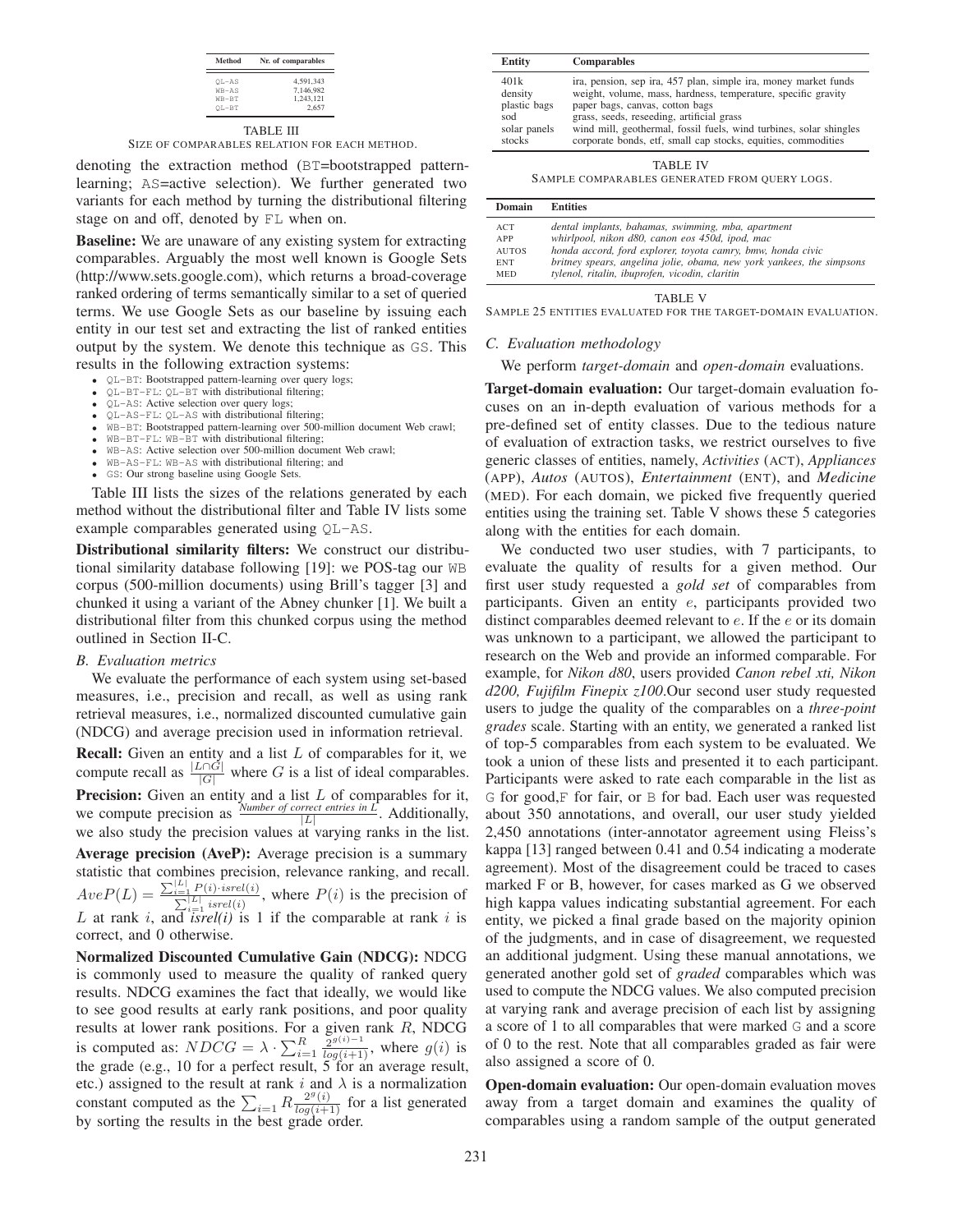| Method    | Nr. of comparables |  |  |
|-----------|--------------------|--|--|
| $OL-AS$   | 4.591.343          |  |  |
| $WR-AS$   | 7.146.982          |  |  |
| $WR - RT$ | 1.243.121          |  |  |
| $OL-BT$   | 2.657              |  |  |

| <b>TABLE III</b> |  |
|------------------|--|
|                  |  |

SIZE OF COMPARABLES RELATION FOR EACH METHOD.

denoting the extraction method (BT=bootstrapped patternlearning; AS=active selection). We further generated two variants for each method by turning the distributional filtering stage on and off, denoted by FL when on.

**Baseline:** We are unaware of any existing system for extracting comparables. Arguably the most well known is Google Sets (http://www.sets.google.com), which returns a broad-coverage ranked ordering of terms semantically similar to a set of queried terms. We use Google Sets as our baseline by issuing each entity in our test set and extracting the list of ranked entities output by the system. We denote this technique as GS. This results in the following extraction systems:

- QL-BT: Bootstrapped pattern-learning over query logs;
- QL-BT-FL: QL-BT with distributional filtering;
- QL-AS: Active selection over query logs; • QL-AS-FL: QL-AS with distributional filtering;
- WB-BT: Bootstrapped pattern-learning over 500-million document Web crawl;
- WB-BT-FL: WB-BT with distributional filtering;
- WB-AS: Active selection over 500-million document Web crawl;
- WB-AS-FL: WB-AS with distributional filtering; and
- GS: Our strong baseline using Google Sets.

Table III lists the sizes of the relations generated by each method without the distributional filter and Table IV lists some example comparables generated using QL-AS.

Distributional similarity filters: We construct our distributional similarity database following [19]: we POS-tag our WB corpus (500-million documents) using Brill's tagger [3] and chunked it using a variant of the Abney chunker [1]. We built a distributional filter from this chunked corpus using the method outlined in Section II-C.

## *B. Evaluation metrics*

We evaluate the performance of each system using set-based measures, i.e., precision and recall, as well as using rank retrieval measures, i.e., normalized discounted cumulative gain (NDCG) and average precision used in information retrieval. **Recall:** Given an entity and a list  $L$  of comparables for it, we compute recall as  $\frac{|L \cap G|}{|G|}$  where G is a list of ideal comparables. **Precision:** Given an entity and a list L of comparables for it, we compute precision as  $\frac{Number\ of\ correct\ entries\ in\ L}{|L|}$ . Additionally, we also study the precision values at varying ranks in the list.

Average precision (AveP): Average precision is a summary statistic that combines precision, relevance ranking, and recall.  $AveP(L) = \frac{\sum_{i=1}^{|L|} P(i) \cdot isrel(i)}{\sum_{i=1}^{|L|} srel(i)}$ , where  $P(i)$  is the precision of  $L$  at rank *i* and *isrel(i)* is 1 if the comparable at rank *i* is L at rank i, and  $\overline{isrel}(i)$  is 1 if the comparable at rank i is correct and 0 otherwise correct, and 0 otherwise.

Normalized Discounted Cumulative Gain (NDCG): NDCG is commonly used to measure the quality of ranked query results. NDCG examines the fact that ideally, we would like to see good results at early rank positions, and poor quality results at lower rank positions. For a given rank R, NDCG<br>is computed as:  $NDCC = \lambda \sum_{i=1}^{R} \frac{2^{g(i)-1}}{i}$  where  $g(i)$  is is computed as:  $NDCG = \lambda \cdot \sum_{i=1}^{R} \frac{2^{g(i)-1}}{\log(i+1)}$ , where  $g(i)$  is the grade (e.g. 10 for a perfect result 5 for an average result the grade (e.g., 10 for a perfect result,  $5$  for an average result, etc.) assigned to the result at rank i and  $\lambda$  is a normalization<br>constant computed as the  $\sum_{i=1} R \frac{2^g(i)}{log(i+1)}$  for a list generated<br>by sorting the results in the best grade order by sorting the results in the best grade order.

| Entity       | <b>Comparables</b>                                                 |
|--------------|--------------------------------------------------------------------|
| 401k         | ira, pension, sep ira, 457 plan, simple ira, money market funds    |
| density      | weight, volume, mass, hardness, temperature, specific gravity      |
| plastic bags | paper bags, canvas, cotton bags                                    |
| sod          | grass, seeds, reseeding, artificial grass                          |
| solar panels | wind mill, geothermal, fossil fuels, wind turbines, solar shingles |
| stocks       | corporate bonds, etf, small cap stocks, equities, commodities      |
|              | TABLE IV                                                           |

SAMPLE COMPARABLES GENERATED FROM QUERY LOGS.

| Domain       | <b>Entities</b>                                                       |
|--------------|-----------------------------------------------------------------------|
| ACT          | dental implants, bahamas, swimming, mba, apartment                    |
| APP          | whirlpool, nikon d80, canon eos 450d, ipod, mac                       |
| <b>AUTOS</b> | honda accord, ford explorer, toyota camry, bmw, honda civic           |
| <b>ENT</b>   | britney spears, angelina jolie, obama, new york yankees, the simpsons |
| <b>MED</b>   | tylenol, ritalin, ibuprofen, vicodin, claritin                        |

SAMPLE 25 ENTITIES EVALUATED FOR THE TARGET-DOMAIN EVALUATION.

#### *C. Evaluation methodology*

We perform *target-domain* and *open-domain* evaluations.

Target-domain evaluation: Our target-domain evaluation focuses on an in-depth evaluation of various methods for a pre-defined set of entity classes. Due to the tedious nature of evaluation of extraction tasks, we restrict ourselves to five generic classes of entities, namely, *Activities* (ACT), *Appliances* (APP), *Autos* (AUTOS), *Entertainment* (ENT), and *Medicine* (MED). For each domain, we picked five frequently queried entities using the training set. Table V shows these 5 categories along with the entities for each domain.

We conducted two user studies, with 7 participants, to evaluate the quality of results for a given method. Our first user study requested a *gold set* of comparables from participants. Given an entity e, participants provided two distinct comparables deemed relevant to e. If the e or its domain was unknown to a participant, we allowed the participant to research on the Web and provide an informed comparable. For example, for *Nikon d80*, users provided *Canon rebel xti, Nikon d200, Fujifilm Finepix z100*.Our second user study requested users to judge the quality of the comparables on a *three-point grades* scale. Starting with an entity, we generated a ranked list of top-5 comparables from each system to be evaluated. We took a union of these lists and presented it to each participant. Participants were asked to rate each comparable in the list as G for good,F for fair, or B for bad. Each user was requested about 350 annotations, and overall, our user study yielded 2,450 annotations (inter-annotator agreement using Fleiss's kappa [13] ranged between 0.41 and 0.54 indicating a moderate agreement). Most of the disagreement could be traced to cases marked F or B, however, for cases marked as G we observed high kappa values indicating substantial agreement. For each entity, we picked a final grade based on the majority opinion of the judgments, and in case of disagreement, we requested an additional judgment. Using these manual annotations, we generated another gold set of *graded* comparables which was used to compute the NDCG values. We also computed precision at varying rank and average precision of each list by assigning a score of 1 to all comparables that were marked G and a score of 0 to the rest. Note that all comparables graded as fair were also assigned a score of 0.

Open-domain evaluation: Our open-domain evaluation moves away from a target domain and examines the quality of comparables using a random sample of the output generated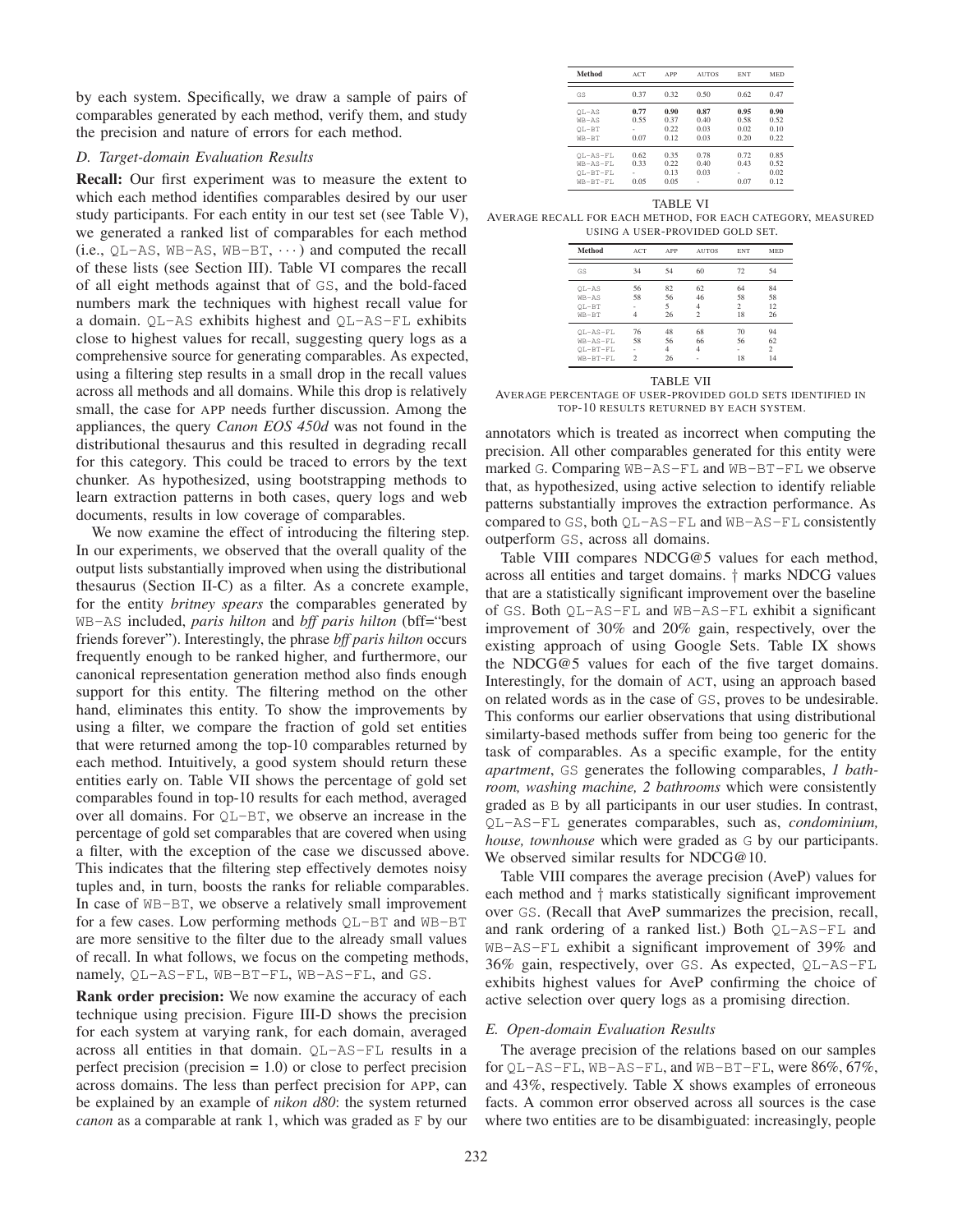by each system. Specifically, we draw a sample of pairs of comparables generated by each method, verify them, and study the precision and nature of errors for each method.

## *D. Target-domain Evaluation Results*

Recall: Our first experiment was to measure the extent to which each method identifies comparables desired by our user study participants. For each entity in our test set (see Table V), we generated a ranked list of comparables for each method  $(i.e., QL-AS, WB-AS, WB-BT, \cdots)$  and computed the recall of these lists (see Section III). Table VI compares the recall of all eight methods against that of GS, and the bold-faced numbers mark the techniques with highest recall value for a domain. QL-AS exhibits highest and QL-AS-FL exhibits close to highest values for recall, suggesting query logs as a comprehensive source for generating comparables. As expected, using a filtering step results in a small drop in the recall values across all methods and all domains. While this drop is relatively small, the case for APP needs further discussion. Among the appliances, the query *Canon EOS 450d* was not found in the distributional thesaurus and this resulted in degrading recall for this category. This could be traced to errors by the text chunker. As hypothesized, using bootstrapping methods to learn extraction patterns in both cases, query logs and web documents, results in low coverage of comparables.

We now examine the effect of introducing the filtering step. In our experiments, we observed that the overall quality of the output lists substantially improved when using the distributional thesaurus (Section II-C) as a filter. As a concrete example, for the entity *britney spears* the comparables generated by WB-AS included, *paris hilton* and *bff paris hilton* (bff="best friends forever"). Interestingly, the phrase *bff paris hilton* occurs frequently enough to be ranked higher, and furthermore, our canonical representation generation method also finds enough support for this entity. The filtering method on the other hand, eliminates this entity. To show the improvements by using a filter, we compare the fraction of gold set entities that were returned among the top-10 comparables returned by each method. Intuitively, a good system should return these entities early on. Table VII shows the percentage of gold set comparables found in top-10 results for each method, averaged over all domains. For QL-BT, we observe an increase in the percentage of gold set comparables that are covered when using a filter, with the exception of the case we discussed above. This indicates that the filtering step effectively demotes noisy tuples and, in turn, boosts the ranks for reliable comparables. In case of WB-BT, we observe a relatively small improvement for a few cases. Low performing methods QL-BT and WB-BT are more sensitive to the filter due to the already small values of recall. In what follows, we focus on the competing methods, namely, QL-AS-FL, WB-BT-FL, WB-AS-FL, and GS.

**Rank order precision:** We now examine the accuracy of each technique using precision. Figure III-D shows the precision for each system at varying rank, for each domain, averaged across all entities in that domain. QL-AS-FL results in a perfect precision (precision  $= 1.0$ ) or close to perfect precision across domains. The less than perfect precision for APP, can be explained by an example of *nikon d80*: the system returned *canon* as a comparable at rank 1, which was graded as F by our

| Method                                                    | <b>ACT</b>                | APP                          | <b>AUTOS</b>                 | <b>ENT</b>                   | <b>MED</b>                   |
|-----------------------------------------------------------|---------------------------|------------------------------|------------------------------|------------------------------|------------------------------|
| GS                                                        | 0.37                      | 0.32                         | 0.50                         | 0.62                         | 0.47                         |
| $OL-AS$<br>$WR-AS$<br>$OL-BT$<br>$WR - RT$                | 0.77<br>0.55<br>0.07      | 0.90<br>0.37<br>0.22<br>0.12 | 0.87<br>0.40<br>0.03<br>0.03 | 0.95<br>0.58<br>0.02<br>0.20 | 0.90<br>0.52<br>0.10<br>0.22 |
| $OL-AS-FL$<br>$WR-AS-FI.$<br>OL-BT-FL<br>$WR - RT - FT$ . | 0.62<br>0.33<br>٠<br>0.05 | 0.35<br>0.22<br>0.13<br>0.05 | 0.78<br>0.40<br>0.03<br>٠    | 0.72<br>0.43<br>٠<br>0.07    | 0.85<br>0.52<br>0.02<br>0.12 |

AVERAGE RECALL FOR EACH METHOD, FOR EACH CATEGORY, MEASURED USING A USER-PROVIDED GOLD SET.

| Method           | ACT. | APP | <b>AUTOS</b>   | <b>ENT</b>     | MED |
|------------------|------|-----|----------------|----------------|-----|
| GS               | 34   | 54  | 60             | 72             | 54  |
| OL-AS            | 56   | 82  | 62             | 64             | 84  |
| $WR-AS$          | 58   | 56  | 46             | 58             | 58  |
| $OL-BT$          | ٠    | 5   | 4              | $\mathfrak{D}$ | 12  |
| $WR - RT$        | 4    | 26  | $\mathfrak{D}$ | 18             | 26  |
| OL-AS-FL         | 76   | 48  | 68             | 70             | 94  |
| $WR-AS-FT.$      | 58   | 56  | 66             | 56             | 62  |
| OL-BT-FL         | ٠    | 4   | 4              | ٠              | 2   |
| $WR - RT - FT$ . | C    | 26  | ۰              | 18             | 14  |

TABLE VII

AVERAGE PERCENTAGE OF USER-PROVIDED GOLD SETS IDENTIFIED IN TOP-10 RESULTS RETURNED BY EACH SYSTEM.

annotators which is treated as incorrect when computing the precision. All other comparables generated for this entity were marked G. Comparing WB-AS-FL and WB-BT-FL we observe that, as hypothesized, using active selection to identify reliable patterns substantially improves the extraction performance. As compared to GS, both QL-AS-FL and WB-AS-FL consistently outperform GS, across all domains.

Table VIII compares NDCG@5 values for each method, across all entities and target domains. † marks NDCG values that are a statistically significant improvement over the baseline of GS. Both QL-AS-FL and WB-AS-FL exhibit a significant improvement of 30% and 20% gain, respectively, over the existing approach of using Google Sets. Table IX shows the NDCG@5 values for each of the five target domains. Interestingly, for the domain of ACT, using an approach based on related words as in the case of GS, proves to be undesirable. This conforms our earlier observations that using distributional similarty-based methods suffer from being too generic for the task of comparables. As a specific example, for the entity *apartment*, GS generates the following comparables, *1 bathroom, washing machine, 2 bathrooms* which were consistently graded as B by all participants in our user studies. In contrast, QL-AS-FL generates comparables, such as, *condominium, house, townhouse* which were graded as G by our participants. We observed similar results for NDCG@10.

Table VIII compares the average precision (AveP) values for each method and † marks statistically significant improvement over GS. (Recall that AveP summarizes the precision, recall, and rank ordering of a ranked list.) Both QL-AS-FL and WB-AS-FL exhibit a significant improvement of 39% and 36% gain, respectively, over GS. As expected, QL-AS-FL exhibits highest values for AveP confirming the choice of active selection over query logs as a promising direction.

## *E. Open-domain Evaluation Results*

The average precision of the relations based on our samples for QL-AS-FL, WB-AS-FL, and WB-BT-FL, were 86%, 67%, and 43%, respectively. Table X shows examples of erroneous facts. A common error observed across all sources is the case where two entities are to be disambiguated: increasingly, people